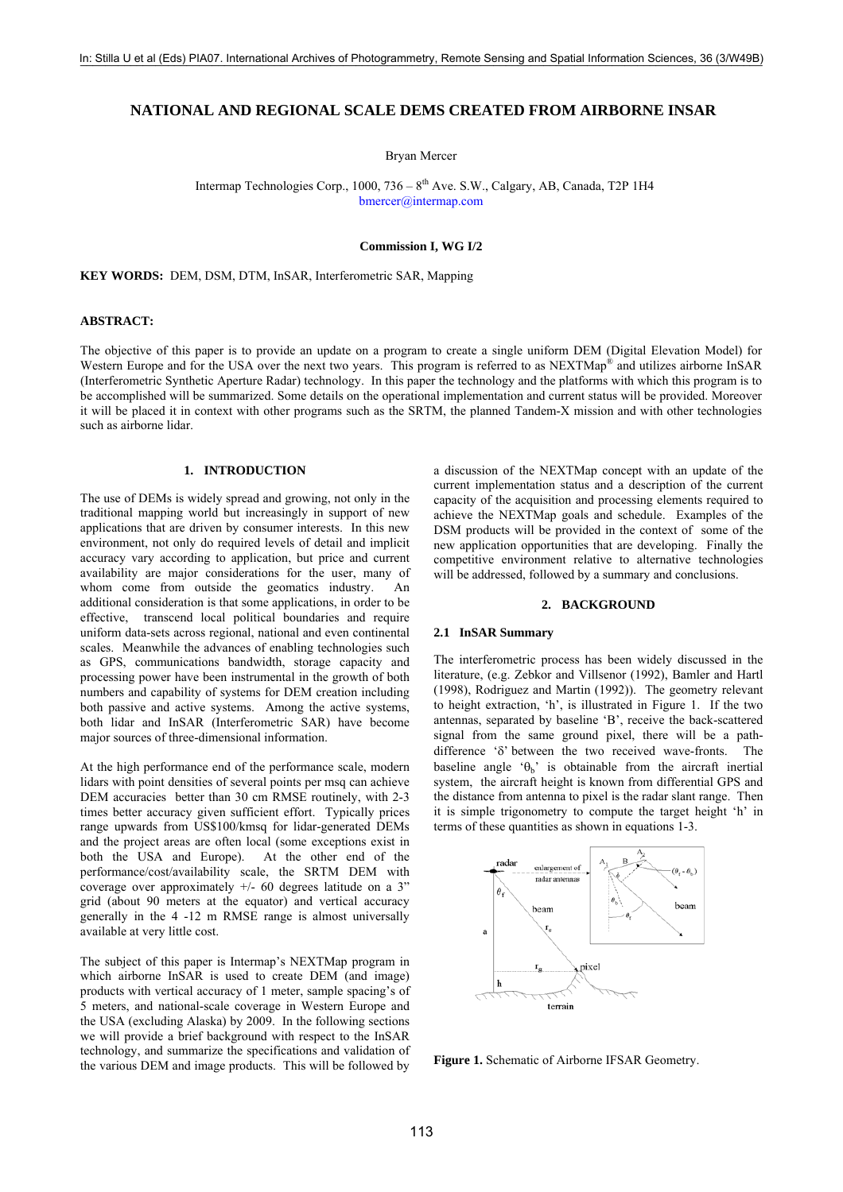# **NATIONAL AND REGIONAL SCALE DEMS CREATED FROM AIRBORNE INSAR**

Bryan Mercer

Intermap Technologies Corp.,  $1000$ ,  $736 - 8^{th}$  Ave. S.W., Calgary, AB, Canada, T2P 1H4 [bmercer@intermap.com](mailto:bmercer@intermap.com)

### **Commission I, WG I/2**

**KEY WORDS:** DEM, DSM, DTM, InSAR, Interferometric SAR, Mapping

## **ABSTRACT:**

The objective of this paper is to provide an update on a program to create a single uniform DEM (Digital Elevation Model) for Western Europe and for the USA over the next two years. This program is referred to as NEXTMap<sup>®</sup> and utilizes airborne InSAR (Interferometric Synthetic Aperture Radar) technology. In this paper the technology and the platforms with which this program is to be accomplished will be summarized. Some details on the operational implementation and current status will be provided. Moreover it will be placed it in context with other programs such as the SRTM, the planned Tandem-X mission and with other technologies such as airborne lidar.

### **1. INTRODUCTION**

The use of DEMs is widely spread and growing, not only in the traditional mapping world but increasingly in support of new applications that are driven by consumer interests. In this new environment, not only do required levels of detail and implicit accuracy vary according to application, but price and current availability are major considerations for the user, many of whom come from outside the geomatics industry. An additional consideration is that some applications, in order to be effective, transcend local political boundaries and require uniform data-sets across regional, national and even continental scales. Meanwhile the advances of enabling technologies such as GPS, communications bandwidth, storage capacity and processing power have been instrumental in the growth of both numbers and capability of systems for DEM creation including both passive and active systems. Among the active systems, both lidar and InSAR (Interferometric SAR) have become major sources of three-dimensional information.

At the high performance end of the performance scale, modern lidars with point densities of several points per msq can achieve DEM accuracies better than 30 cm RMSE routinely, with 2-3 times better accuracy given sufficient effort. Typically prices range upwards from US\$100/kmsq for lidar-generated DEMs and the project areas are often local (some exceptions exist in both the USA and Europe). At the other end of the performance/cost/availability scale, the SRTM DEM with coverage over approximately  $+/$ - 60 degrees latitude on a 3" grid (about 90 meters at the equator) and vertical accuracy generally in the 4 -12 m RMSE range is almost universally available at very little cost.

The subject of this paper is Intermap's NEXTMap program in which airborne InSAR is used to create DEM (and image) products with vertical accuracy of 1 meter, sample spacing's of 5 meters, and national-scale coverage in Western Europe and the USA (excluding Alaska) by 2009. In the following sections we will provide a brief background with respect to the InSAR technology, and summarize the specifications and validation of the various DEM and image products. This will be followed by a discussion of the NEXTMap concept with an update of the current implementation status and a description of the current capacity of the acquisition and processing elements required to achieve the NEXTMap goals and schedule. Examples of the DSM products will be provided in the context of some of the new application opportunities that are developing. Finally the competitive environment relative to alternative technologies will be addressed, followed by a summary and conclusions.

#### **2. BACKGROUND**

#### **2.1 InSAR Summary**

The interferometric process has been widely discussed in the literature, (e.g. Zebkor and Villsenor (1992), Bamler and Hartl (1998), Rodriguez and Martin (1992)). The geometry relevant to height extraction, 'h', is illustrated in Figure 1. If the two antennas, separated by baseline 'B', receive the back-scattered signal from the same ground pixel, there will be a pathdifference 'δ' between the two received wave-fronts. The baseline angle ' $\theta_b$ ' is obtainable from the aircraft inertial system, the aircraft height is known from differential GPS and the distance from antenna to pixel is the radar slant range. Then it is simple trigonometry to compute the target height 'h' in terms of these quantities as shown in equations 1-3.



**Figure 1.** Schematic of Airborne IFSAR Geometry.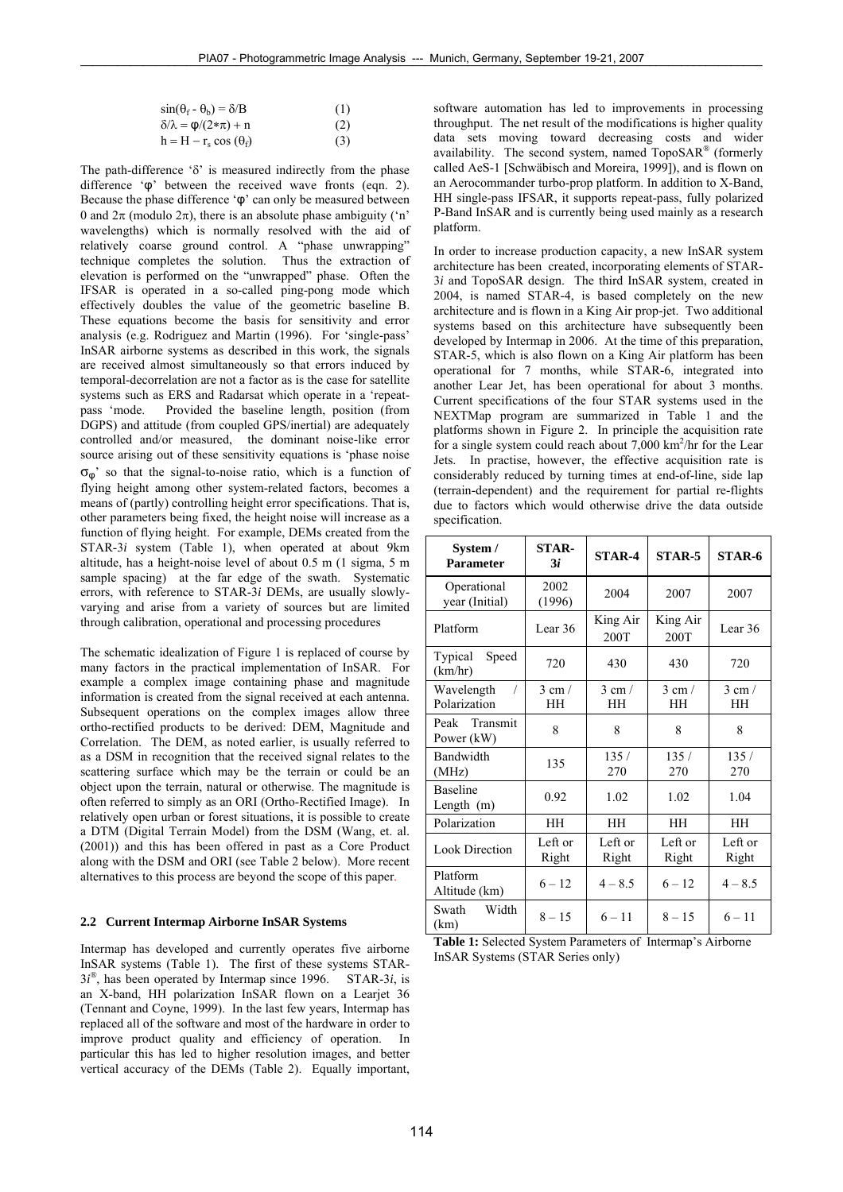| $sin(\theta_f - \theta_h) = \delta/B$  | (1) |
|----------------------------------------|-----|
| $\delta/\lambda = \varphi/(2*\pi) + n$ | (2) |
| $h = H - r_s \cos(\theta_f)$           | (3) |

The path-difference 'δ' is measured indirectly from the phase difference 'φ' between the received wave fronts (eqn. 2). Because the phase difference 'φ' can only be measured between 0 and  $2\pi$  (modulo  $2\pi$ ), there is an absolute phase ambiguity ('n' wavelengths) which is normally resolved with the aid of relatively coarse ground control. A "phase unwrapping" technique completes the solution. Thus the extraction of elevation is performed on the "unwrapped" phase. Often the IFSAR is operated in a so-called ping-pong mode which effectively doubles the value of the geometric baseline B. These equations become the basis for sensitivity and error analysis (e.g. Rodriguez and Martin (1996). For 'single-pass' InSAR airborne systems as described in this work, the signals are received almost simultaneously so that errors induced by temporal-decorrelation are not a factor as is the case for satellite systems such as ERS and Radarsat which operate in a 'repeatpass 'mode. Provided the baseline length, position (from DGPS) and attitude (from coupled GPS/inertial) are adequately controlled and/or measured, the dominant noise-like error source arising out of these sensitivity equations is 'phase noise  $\sigma_{\omega}$ ' so that the signal-to-noise ratio, which is a function of flying height among other system-related factors, becomes a means of (partly) controlling height error specifications. That is, other parameters being fixed, the height noise will increase as a function of flying height. For example, DEMs created from the STAR-3*i* system (Table 1), when operated at about 9km altitude, has a height-noise level of about 0.5 m (1 sigma, 5 m sample spacing) at the far edge of the swath. Systematic errors, with reference to STAR-3*i* DEMs, are usually slowlyvarying and arise from a variety of sources but are limited through calibration, operational and processing procedures

The schematic idealization of Figure 1 is replaced of course by many factors in the practical implementation of InSAR. For example a complex image containing phase and magnitude information is created from the signal received at each antenna. Subsequent operations on the complex images allow three ortho-rectified products to be derived: DEM, Magnitude and Correlation. The DEM, as noted earlier, is usually referred to as a DSM in recognition that the received signal relates to the scattering surface which may be the terrain or could be an object upon the terrain, natural or otherwise. The magnitude is often referred to simply as an ORI (Ortho-Rectified Image). In relatively open urban or forest situations, it is possible to create a DTM (Digital Terrain Model) from the DSM (Wang, et. al. (2001)) and this has been offered in past as a Core Product along with the DSM and ORI (see Table 2 below). More recent alternatives to this process are beyond the scope of this paper.

# **2.2 Current Intermap Airborne InSAR Systems**

Intermap has developed and currently operates five airborne InSAR systems (Table 1). The first of these systems STAR- $3i^{\circ}$ , has been operated by Intermap since 1996. STAR-3*i*, is an X-band, HH polarization InSAR flown on a Learjet 36 (Tennant and Coyne, 1999). In the last few years, Intermap has replaced all of the software and most of the hardware in order to improve product quality and efficiency of operation. In particular this has led to higher resolution images, and better vertical accuracy of the DEMs (Table 2). Equally important,

software automation has led to improvements in processing throughput. The net result of the modifications is higher quality data sets moving toward decreasing costs and wider availability. The second system, named TopoSAR*®* (formerly called AeS-1 [Schwäbisch and Moreira, 1999]), and is flown on an Aerocommander turbo-prop platform. In addition to X-Band, HH single-pass IFSAR, it supports repeat-pass, fully polarized P-Band InSAR and is currently being used mainly as a research platform.

In order to increase production capacity, a new InSAR system architecture has been created, incorporating elements of STAR-3*i* and TopoSAR design. The third InSAR system, created in 2004, is named STAR-4, is based completely on the new architecture and is flown in a King Air prop-jet. Two additional systems based on this architecture have subsequently been developed by Intermap in 2006. At the time of this preparation, STAR-5, which is also flown on a King Air platform has been operational for 7 months, while STAR-6, integrated into another Lear Jet, has been operational for about 3 months. Current specifications of the four STAR systems used in the NEXTMap program are summarized in Table 1 and the platforms shown in Figure 2. In principle the acquisition rate for a single system could reach about  $7,000$  km<sup>2</sup>/hr for the Lear Jets. In practise, however, the effective acquisition rate is considerably reduced by turning times at end-of-line, side lap (terrain-dependent) and the requirement for partial re-flights due to factors which would otherwise drive the data outside specification.

| System /<br><b>Parameter</b>             | <b>STAR-</b><br>Зi   | <b>STAR-4</b>        | STAR-5               | STAR-6               |
|------------------------------------------|----------------------|----------------------|----------------------|----------------------|
| Operational<br>year (Initial)            | 2002<br>(1996)       | 2004                 | 2007                 | 2007                 |
| Platform                                 | Lear 36              | King Air<br>200T     | King Air<br>200T     | Lear 36              |
| Typical<br>Speed<br>(km/hr)              | 720                  | 430                  | 430                  | 720                  |
| Wavelength<br>$\sqrt{2}$<br>Polarization | $3 \text{ cm}$<br>HH | $3 \text{ cm}$<br>HH | $3 \text{ cm}$<br>HН | $3 \text{ cm}$<br>HН |
| Peak Transmit<br>Power (kW)              | 8                    | 8                    | 8                    | 8                    |
| Bandwidth<br>(MHz)                       | 135                  | 135/<br>270          | 135/<br>270          | 135/<br>270          |
| <b>Baseline</b><br>Length $(m)$          | 0.92                 | 1.02                 | 1.02                 | 1.04                 |
| Polarization                             | <b>HH</b>            | <b>HH</b>            | <b>HH</b>            | <b>HH</b>            |
| <b>Look Direction</b>                    | Left or<br>Right     | Left or<br>Right     | Left or<br>Right     | Left or<br>Right     |
| Platform<br>Altitude (km)                | $6 - 12$             | $4 - 8.5$            | $6 - 12$             | $4 - 8.5$            |
| Width<br>Swath<br>(km)                   | $8 - 15$             | $6 - 11$             | $8 - 15$             | $6 - 11$             |

| <b>Table 1:</b> Selected System Parameters of Intermap's Airborne |  |
|-------------------------------------------------------------------|--|
| InSAR Systems (STAR Series only)                                  |  |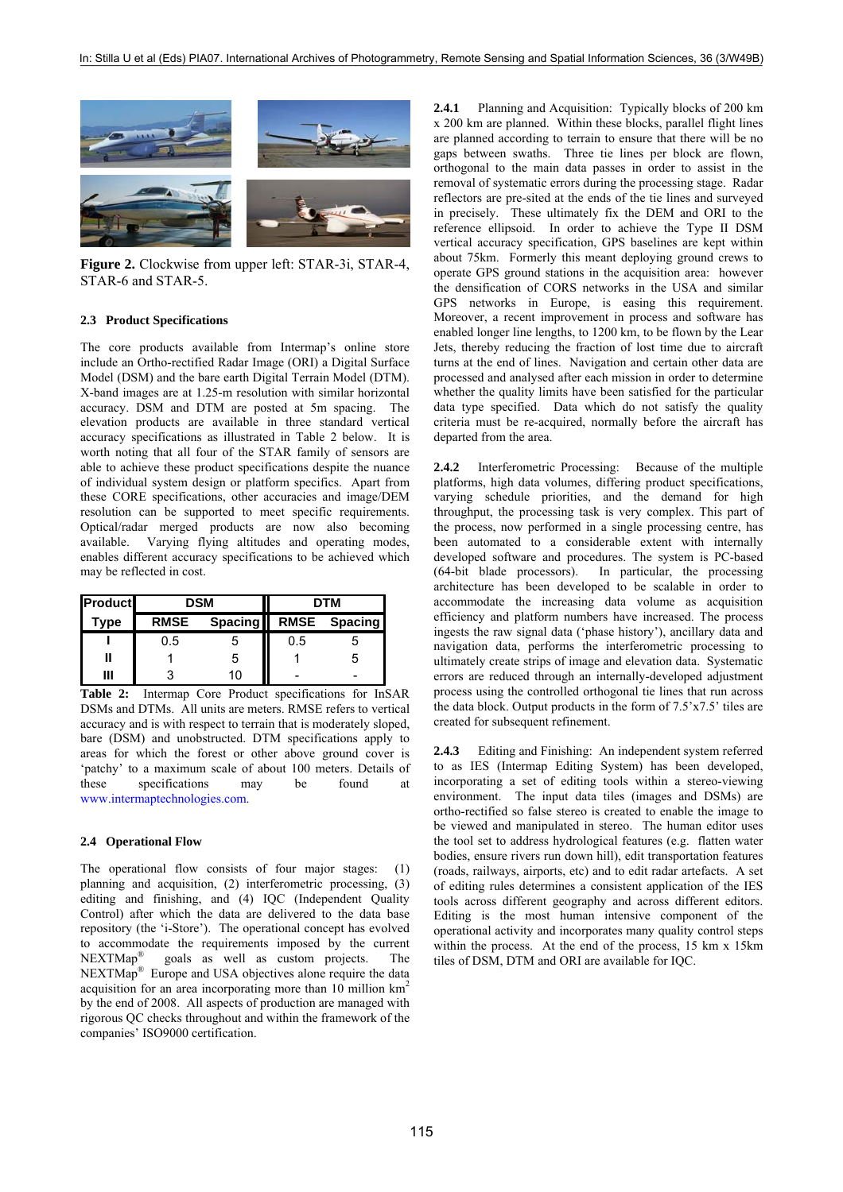

**Figure 2.** Clockwise from upper left: STAR-3i, STAR-4, STAR-6 and STAR-5.

#### **2.3 Product Specifications**

The core products available from Intermap's online store include an Ortho-rectified Radar Image (ORI) a Digital Surface Model (DSM) and the bare earth Digital Terrain Model (DTM). X-band images are at 1.25-m resolution with similar horizontal accuracy. DSM and DTM are posted at 5m spacing. The elevation products are available in three standard vertical accuracy specifications as illustrated in Table 2 below. It is worth noting that all four of the STAR family of sensors are able to achieve these product specifications despite the nuance of individual system design or platform specifics. Apart from these CORE specifications, other accuracies and image/DEM resolution can be supported to meet specific requirements. Optical/radar merged products are now also becoming available. Varying flying altitudes and operating modes, enables different accuracy specifications to be achieved which may be reflected in cost.

| <b>Product</b> | <b>DSM</b>  |                      | DTM |   |
|----------------|-------------|----------------------|-----|---|
| Type           | <b>RMSE</b> | Spacing RMSE Spacing |     |   |
|                | 0.5         |                      | 0.5 |   |
|                |             | ۰h                   |     | 5 |
| Ш              |             | 10                   |     |   |

**Table 2:** Intermap Core Product specifications for InSAR DSMs and DTMs. All units are meters. RMSE refers to vertical accuracy and is with respect to terrain that is moderately sloped, bare (DSM) and unobstructed. DTM specifications apply to areas for which the forest or other above ground cover is 'patchy' to a maximum scale of about 100 meters. Details of these specifications may be found at [www.intermaptechnologies.com.](http://www.intermaptechnologies.com/)

#### **2.4 Operational Flow**

The operational flow consists of four major stages: (1) planning and acquisition, (2) interferometric processing, (3) editing and finishing, and (4) IQC (Independent Quality Control) after which the data are delivered to the data base repository (the 'i-Store'). The operational concept has evolved to accommodate the requirements imposed by the current NEXTMap® goals as well as custom projects. The NEXTMap® Europe and USA objectives alone require the data acquisition for an area incorporating more than 10 million km2 by the end of 2008. All aspects of production are managed with rigorous QC checks throughout and within the framework of the companies' ISO9000 certification.

**2.4.1** Planning and Acquisition: Typically blocks of 200 km x 200 km are planned. Within these blocks, parallel flight lines are planned according to terrain to ensure that there will be no gaps between swaths. Three tie lines per block are flown, orthogonal to the main data passes in order to assist in the removal of systematic errors during the processing stage. Radar reflectors are pre-sited at the ends of the tie lines and surveyed in precisely. These ultimately fix the DEM and ORI to the reference ellipsoid. In order to achieve the Type II DSM vertical accuracy specification, GPS baselines are kept within about 75km. Formerly this meant deploying ground crews to operate GPS ground stations in the acquisition area: however the densification of CORS networks in the USA and similar GPS networks in Europe, is easing this requirement. Moreover, a recent improvement in process and software has enabled longer line lengths, to 1200 km, to be flown by the Lear Jets, thereby reducing the fraction of lost time due to aircraft turns at the end of lines. Navigation and certain other data are processed and analysed after each mission in order to determine whether the quality limits have been satisfied for the particular data type specified. Data which do not satisfy the quality criteria must be re-acquired, normally before the aircraft has departed from the area.

**2.4.2** Interferometric Processing: Because of the multiple platforms, high data volumes, differing product specifications, varying schedule priorities, and the demand for high throughput, the processing task is very complex. This part of the process, now performed in a single processing centre, has been automated to a considerable extent with internally developed software and procedures. The system is PC-based (64-bit blade processors). In particular, the processing architecture has been developed to be scalable in order to accommodate the increasing data volume as acquisition efficiency and platform numbers have increased. The process ingests the raw signal data ('phase history'), ancillary data and navigation data, performs the interferometric processing to ultimately create strips of image and elevation data. Systematic errors are reduced through an internally-developed adjustment process using the controlled orthogonal tie lines that run across the data block. Output products in the form of 7.5'x7.5' tiles are created for subsequent refinement.

**2.4.3** Editing and Finishing: An independent system referred to as IES (Intermap Editing System) has been developed, incorporating a set of editing tools within a stereo-viewing environment. The input data tiles (images and DSMs) are ortho-rectified so false stereo is created to enable the image to be viewed and manipulated in stereo. The human editor uses the tool set to address hydrological features (e.g. flatten water bodies, ensure rivers run down hill), edit transportation features (roads, railways, airports, etc) and to edit radar artefacts. A set of editing rules determines a consistent application of the IES tools across different geography and across different editors. Editing is the most human intensive component of the operational activity and incorporates many quality control steps within the process. At the end of the process, 15 km x 15km tiles of DSM, DTM and ORI are available for IQC.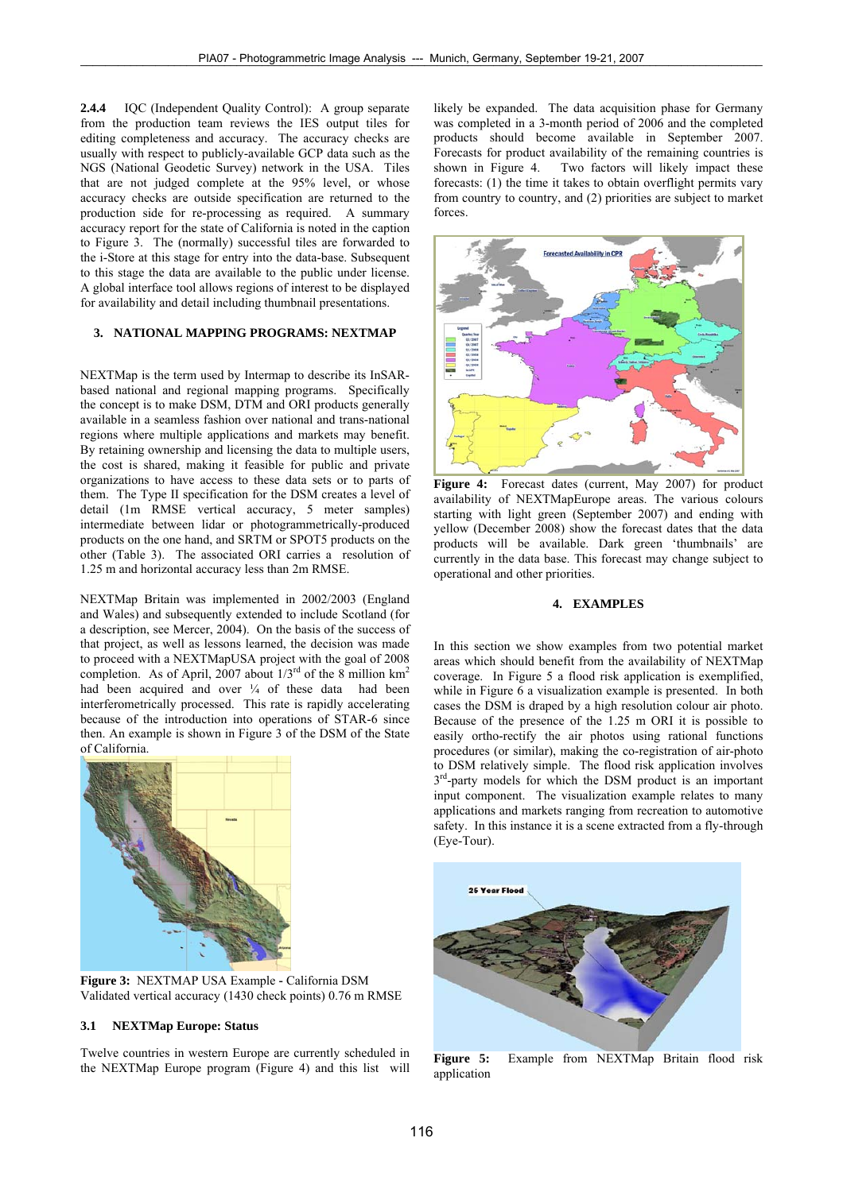**2.4.4** IQC (Independent Quality Control): A group separate from the production team reviews the IES output tiles for editing completeness and accuracy. The accuracy checks are usually with respect to publicly-available GCP data such as the NGS (National Geodetic Survey) network in the USA. Tiles that are not judged complete at the 95% level, or whose accuracy checks are outside specification are returned to the production side for re-processing as required. A summary accuracy report for the state of California is noted in the caption to Figure 3. The (normally) successful tiles are forwarded to the i-Store at this stage for entry into the data-base. Subsequent to this stage the data are available to the public under license. A global interface tool allows regions of interest to be displayed for availability and detail including thumbnail presentations.

# **3. NATIONAL MAPPING PROGRAMS: NEXTMAP**

NEXTMap is the term used by Intermap to describe its InSARbased national and regional mapping programs. Specifically the concept is to make DSM, DTM and ORI products generally available in a seamless fashion over national and trans-national regions where multiple applications and markets may benefit. By retaining ownership and licensing the data to multiple users, the cost is shared, making it feasible for public and private organizations to have access to these data sets or to parts of them. The Type II specification for the DSM creates a level of detail (1m RMSE vertical accuracy, 5 meter samples) intermediate between lidar or photogrammetrically-produced products on the one hand, and SRTM or SPOT5 products on the other (Table 3). The associated ORI carries a resolution of 1.25 m and horizontal accuracy less than 2m RMSE.

NEXTMap Britain was implemented in 2002/2003 (England and Wales) and subsequently extended to include Scotland (for a description, see Mercer, 2004). On the basis of the success of that project, as well as lessons learned, the decision was made to proceed with a NEXTMapUSA project with the goal of 2008 completion. As of April, 2007 about  $1/3^{rd}$  of the 8 million km<sup>2</sup> had been acquired and over  $\frac{1}{4}$  of these data had been interferometrically processed. This rate is rapidly accelerating because of the introduction into operations of STAR-6 since then. An example is shown in Figure 3 of the DSM of the State of California.



**Figure 3:** NEXTMAP USA Example **-** California DSM Validated vertical accuracy (1430 check points) 0.76 m RMSE

#### **3.1 NEXTMap Europe: Status**

Twelve countries in western Europe are currently scheduled in the NEXTMap Europe program (Figure 4) and this list will likely be expanded. The data acquisition phase for Germany was completed in a 3-month period of 2006 and the completed products should become available in September 2007. Forecasts for product availability of the remaining countries is shown in Figure 4. Two factors will likely impact these forecasts: (1) the time it takes to obtain overflight permits vary from country to country, and (2) priorities are subject to market forces.



Figure 4: Forecast dates (current, May 2007) for product availability of NEXTMapEurope areas. The various colours starting with light green (September 2007) and ending with yellow (December 2008) show the forecast dates that the data products will be available. Dark green 'thumbnails' are currently in the data base. This forecast may change subject to operational and other priorities.

# **4. EXAMPLES**

In this section we show examples from two potential market areas which should benefit from the availability of NEXTMap coverage. In Figure 5 a flood risk application is exemplified, while in Figure 6 a visualization example is presented. In both cases the DSM is draped by a high resolution colour air photo. Because of the presence of the 1.25 m ORI it is possible to easily ortho-rectify the air photos using rational functions procedures (or similar), making the co-registration of air-photo to DSM relatively simple. The flood risk application involves  $3<sup>rd</sup>$ -party models for which the DSM product is an important input component. The visualization example relates to many applications and markets ranging from recreation to automotive safety. In this instance it is a scene extracted from a fly-through (Eye-Tour).



**Figure 5:** Example from NEXTMap Britain flood risk application